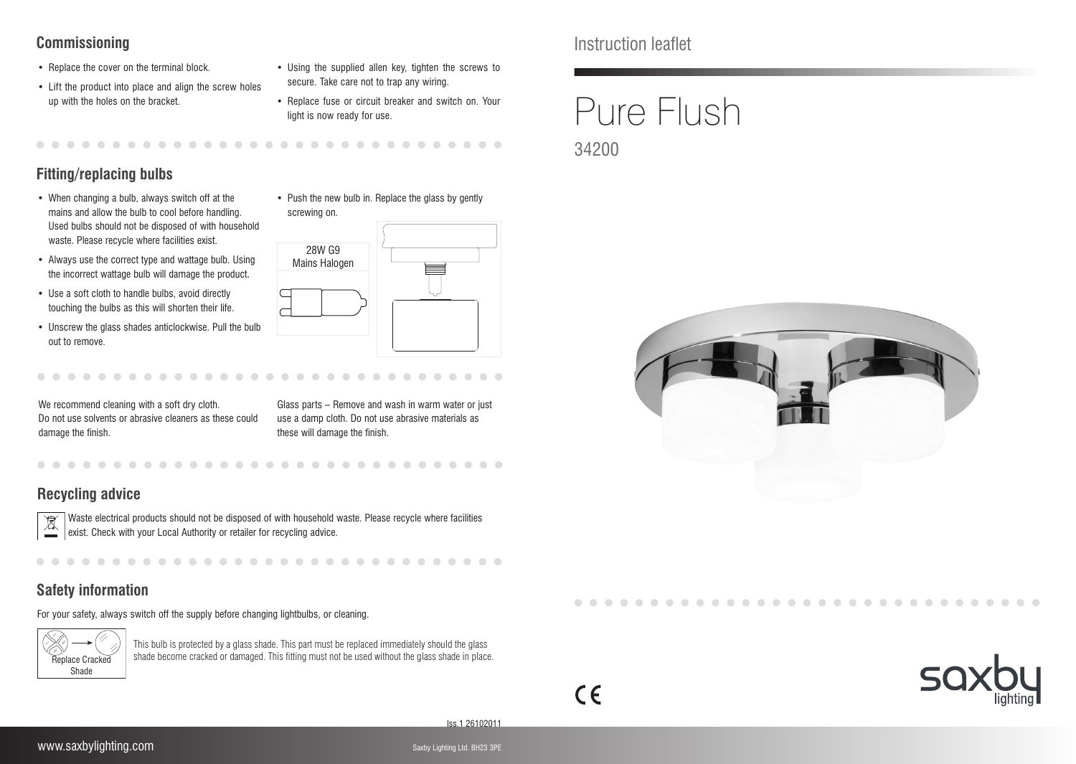# **Commissioning**

- Replace the cover on the terminal block.
- Lift the product into place and align the screw holes up with the holes on the bracket.
- Using the supplied allen key, tighten the screws to secure. Take care not to trap any wiring.
- Replace fuse or circuit breaker and switch on. Your light is now ready for use.

. . . . . . . . . . . . .

# **Fitting/replacing bulbs**

- When changing a bulb, always switch off at the mains and allow the bulb to cool before handling. Used bulbs should not be disposed of with household waste. Please recycle where facilities exist.
- Always use the correct type and wattage bulb. Using the incorrect wattage bulb will damage the product.
- Use a soft cloth to handle bulbs, avoid directly touching the bulbs as this will shorten their life.
- Unscrew the glass shades anticlockwise. Pull the bulb out to remove.
- screwing on. 28W G9 Mains Halogen

• Push the new bulb in. Replace the glass by gently

We recommend cleaning with a soft dry cloth. Do not use solvents or abrasive cleaners as these could damage the finish.

. . . . . . . . . . .

Glass parts – Remove and wash in warm water or just use a damp cloth. Do not use abrasive materials as these will damage the finish.

 $\sim$  $\sim$ 

 $\sqrt{2}$ 

 $\sqrt{2}$ 

# **Recycling advice**



Waste electrical products should not be disposed of with household waste. Please recycle where facilities exist. Check with your Local Authority or retailer for recycling advice.

# **Safety information**

For your safety, always switch off the supply before changing lightbulbs, or cleaning.



This bulb is protected by a glass shade. This part must be replaced immediately should the glass shade become cracked or damaged. This fitting must not be used without the glass shade in place. Replace Cracked Instruction leaflet

# Pure Flush 34200





Iss.1 26102011

 $\epsilon$